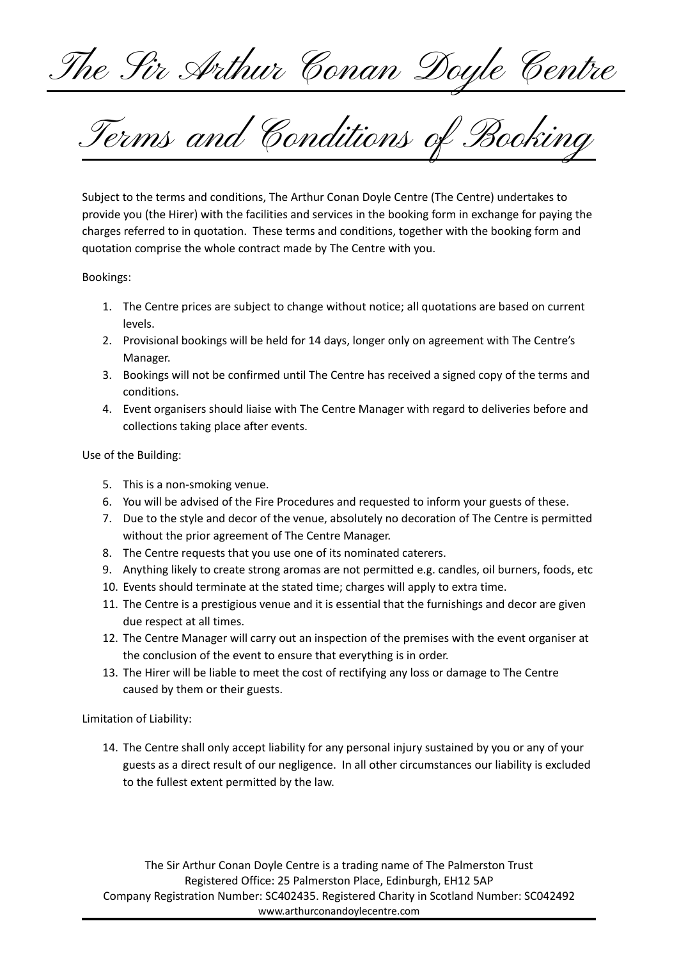The Sir Arthur Conan Doyle Centre

Terms and Conditions of Booking

Subject to the terms and conditions, The Arthur Conan Doyle Centre (The Centre) undertakes to provide you (the Hirer) with the facilities and services in the booking form in exchange for paying the charges referred to in quotation. These terms and conditions, together with the booking form and quotation comprise the whole contract made by The Centre with you.

Bookings:

- 1. The Centre prices are subject to change without notice; all quotations are based on current levels.
- 2. Provisional bookings will be held for 14 days, longer only on agreement with The Centre's Manager.
- 3. Bookings will not be confirmed until The Centre has received a signed copy of the terms and conditions.
- 4. Event organisers should liaise with The Centre Manager with regard to deliveries before and collections taking place after events.

Use of the Building:

- 5. This is a non-smoking venue.
- 6. You will be advised of the Fire Procedures and requested to inform your guests of these.
- 7. Due to the style and decor of the venue, absolutely no decoration of The Centre is permitted without the prior agreement of The Centre Manager.
- 8. The Centre requests that you use one of its nominated caterers.
- 9. Anything likely to create strong aromas are not permitted e.g. candles, oil burners, foods, etc
- 10. Events should terminate at the stated time; charges will apply to extra time.
- 11. The Centre is a prestigious venue and it is essential that the furnishings and decor are given due respect at all times.
- 12. The Centre Manager will carry out an inspection of the premises with the event organiser at the conclusion of the event to ensure that everything is in order.
- 13. The Hirer will be liable to meet the cost of rectifying any loss or damage to The Centre caused by them or their guests.

Limitation of Liability:

14. The Centre shall only accept liability for any personal injury sustained by you or any of your guests as a direct result of our negligence. In all other circumstances our liability is excluded to the fullest extent permitted by the law.

The Sir Arthur Conan Doyle Centre is a trading name of The Palmerston Trust Registered Office: 25 Palmerston Place, Edinburgh, EH12 5AP Company Registration Number: SC402435. Registered Charity in Scotland Number: SC042492 www.arthurconandoylecentre.com